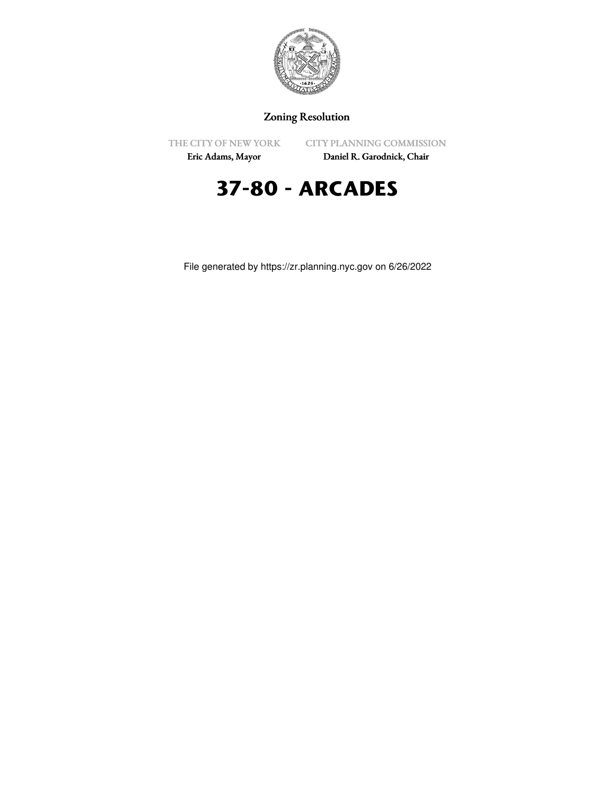

## Zoning Resolution

THE CITY OF NEW YORK

CITY PLANNING COMMISSION

Eric Adams, Mayor

Daniel R. Garodnick, Chair

# **37-80 - ARCADES**

File generated by https://zr.planning.nyc.gov on 6/26/2022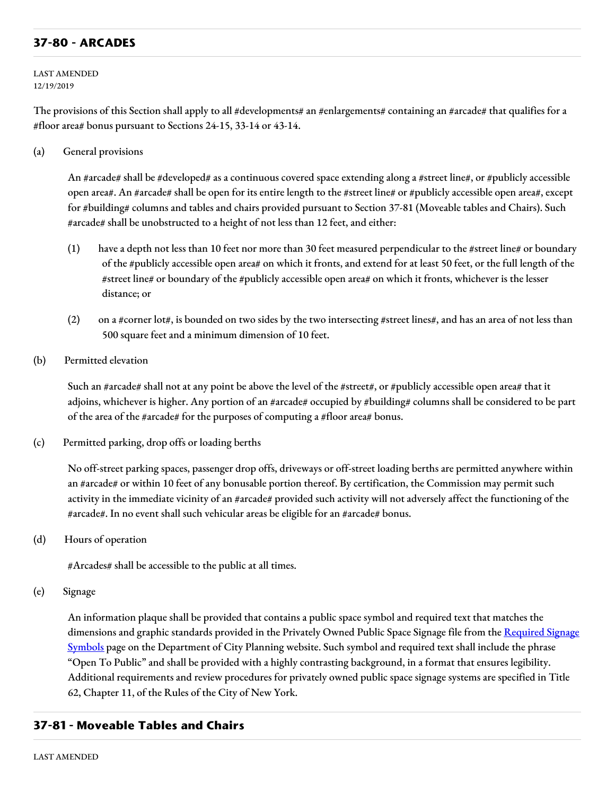### **37-80 - ARCADES**

LAST AMENDED 12/19/2019

The provisions of this Section shall apply to all #developments# an #enlargements# containing an #arcade# that qualifies for a #floor area# bonus pursuant to Sections 24-15, 33-14 or 43-14.

(a) General provisions

An #arcade# shall be #developed# as a continuous covered space extending along a #street line#, or #publicly accessible open area#. An #arcade# shall be open for its entire length to the #street line# or #publicly accessible open area#, except for #building# columns and tables and chairs provided pursuant to Section 37-81 (Moveable tables and Chairs). Such #arcade# shall be unobstructed to a height of not less than 12 feet, and either:

- (1) have a depth not less than 10 feet nor more than 30 feet measured perpendicular to the #street line# or boundary of the #publicly accessible open area# on which it fronts, and extend for at least 50 feet, or the full length of the #street line# or boundary of the #publicly accessible open area# on which it fronts, whichever is the lesser distance; or
- (2) on a #corner lot#, is bounded on two sides by the two intersecting #street lines#, and has an area of not less than 500 square feet and a minimum dimension of 10 feet.
- (b) Permitted elevation

Such an #arcade# shall not at any point be above the level of the #street#, or #publicly accessible open area# that it adjoins, whichever is higher. Any portion of an #arcade# occupied by #building# columns shall be considered to be part of the area of the #arcade# for the purposes of computing a #floor area# bonus.

(c) Permitted parking, drop offs or loading berths

No off-street parking spaces, passenger drop offs, driveways or off-street loading berths are permitted anywhere within an #arcade# or within 10 feet of any bonusable portion thereof. By certification, the Commission may permit such activity in the immediate vicinity of an #arcade# provided such activity will not adversely affect the functioning of the #arcade#. In no event shall such vehicular areas be eligible for an #arcade# bonus.

(d) Hours of operation

#Arcades# shall be accessible to the public at all times.

(e) Signage

An information plaque shall be provided that contains a public space symbol and required text that matches the dimensions and graphic standards provided in the Privately Owned Public Space Signage file from the Required Signage Symbols page on the [Department](https://www1.nyc.gov/site/planning/zoning/graphic-files.page) of City Planning website. Such symbol and required text shall include the phrase "Open To Public" and shall be provided with a highly contrasting background, in a format that ensures legibility. Additional requirements and review procedures for privately owned public space signage systems are specified in Title 62, Chapter 11, of the Rules of the City of New York.

#### **37-81 - Moveable Tables and Chairs**